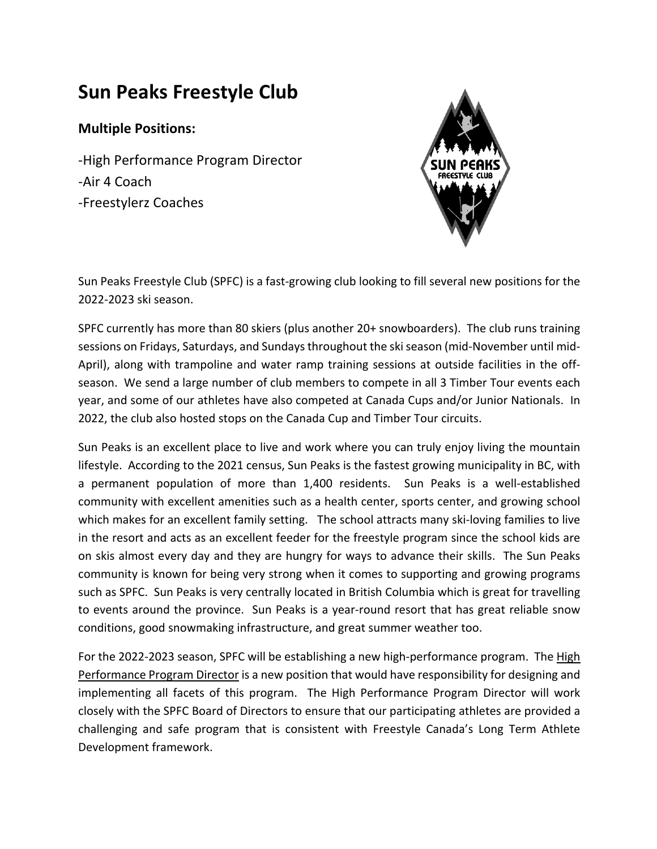# **Sun Peaks Freestyle Club**

## **Multiple Positions:**

-High Performance Program Director -Air 4 Coach -Freestylerz Coaches



Sun Peaks Freestyle Club (SPFC) is a fast-growing club looking to fill several new positions for the 2022-2023 ski season.

SPFC currently has more than 80 skiers (plus another 20+ snowboarders). The club runs training sessions on Fridays, Saturdays, and Sundays throughout the ski season (mid-November until mid-April), along with trampoline and water ramp training sessions at outside facilities in the offseason. We send a large number of club members to compete in all 3 Timber Tour events each year, and some of our athletes have also competed at Canada Cups and/or Junior Nationals. In 2022, the club also hosted stops on the Canada Cup and Timber Tour circuits.

Sun Peaks is an excellent place to live and work where you can truly enjoy living the mountain lifestyle. According to the 2021 census, Sun Peaks is the fastest growing municipality in BC, with a permanent population of more than 1,400 residents. Sun Peaks is a well-established community with excellent amenities such as a health center, sports center, and growing school which makes for an excellent family setting. The school attracts many ski-loving families to live in the resort and acts as an excellent feeder for the freestyle program since the school kids are on skis almost every day and they are hungry for ways to advance their skills. The Sun Peaks community is known for being very strong when it comes to supporting and growing programs such as SPFC. Sun Peaks is very centrally located in British Columbia which is great for travelling to events around the province. Sun Peaks is a year-round resort that has great reliable snow conditions, good snowmaking infrastructure, and great summer weather too.

For the 2022-2023 season, SPFC will be establishing a new high-performance program. The High Performance Program Director is a new position that would have responsibility for designing and implementing all facets of this program. The High Performance Program Director will work closely with the SPFC Board of Directors to ensure that our participating athletes are provided a challenging and safe program that is consistent with Freestyle Canada's Long Term Athlete Development framework.